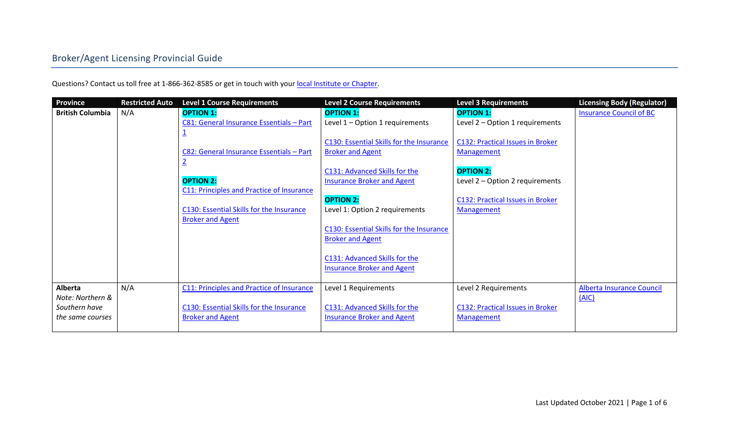Questions? Contact us toll free at 1-866-362-8585 or get in touch with you[r local Institute or Chapter.](https://web.archive.org/web/20171002014857/http:/www.insuranceinstitute.ca/en/institutes-and-chapters)

| <b>Province</b>         | <b>Restricted Auto</b> | <b>Level 1 Course Requirements</b>        | <b>Level 2 Course Requirements</b>       | <b>Level 3 Requirements</b>             | <b>Licensing Body (Regulator)</b> |
|-------------------------|------------------------|-------------------------------------------|------------------------------------------|-----------------------------------------|-----------------------------------|
| <b>British Columbia</b> | N/A                    | <b>OPTION 1:</b>                          | <b>OPTION 1:</b>                         | <b>OPTION 1:</b>                        | <b>Insurance Council of BC</b>    |
|                         |                        | C81: General Insurance Essentials - Part  | Level 1 - Option 1 requirements          | Level 2 - Option 1 requirements         |                                   |
|                         |                        |                                           |                                          |                                         |                                   |
|                         |                        |                                           | C130: Essential Skills for the Insurance | <b>C132: Practical Issues in Broker</b> |                                   |
|                         |                        | C82: General Insurance Essentials - Part  | <b>Broker and Agent</b>                  | Management                              |                                   |
|                         |                        | $\overline{2}$                            |                                          |                                         |                                   |
|                         |                        |                                           | C131: Advanced Skills for the            | <b>OPTION 2:</b>                        |                                   |
|                         |                        | <b>OPTION 2:</b>                          | <b>Insurance Broker and Agent</b>        | Level 2 – Option 2 requirements         |                                   |
|                         |                        | C11: Principles and Practice of Insurance |                                          |                                         |                                   |
|                         |                        |                                           | <b>OPTION 2:</b>                         | C132: Practical Issues in Broker        |                                   |
|                         |                        | C130: Essential Skills for the Insurance  | Level 1: Option 2 requirements           | <b>Management</b>                       |                                   |
|                         |                        | <b>Broker and Agent</b>                   |                                          |                                         |                                   |
|                         |                        |                                           | C130: Essential Skills for the Insurance |                                         |                                   |
|                         |                        |                                           | <b>Broker and Agent</b>                  |                                         |                                   |
|                         |                        |                                           | C131: Advanced Skills for the            |                                         |                                   |
|                         |                        |                                           | <b>Insurance Broker and Agent</b>        |                                         |                                   |
|                         |                        |                                           |                                          |                                         |                                   |
| <b>Alberta</b>          | N/A                    | C11: Principles and Practice of Insurance | Level 1 Requirements                     | Level 2 Requirements                    | Alberta Insurance Council         |
| Note: Northern &        |                        |                                           |                                          |                                         | (AIC)                             |
| Southern have           |                        | C130: Essential Skills for the Insurance  | C131: Advanced Skills for the            | C132: Practical Issues in Broker        |                                   |
| the same courses        |                        | <b>Broker and Agent</b>                   | <b>Insurance Broker and Agent</b>        | Management                              |                                   |
|                         |                        |                                           |                                          |                                         |                                   |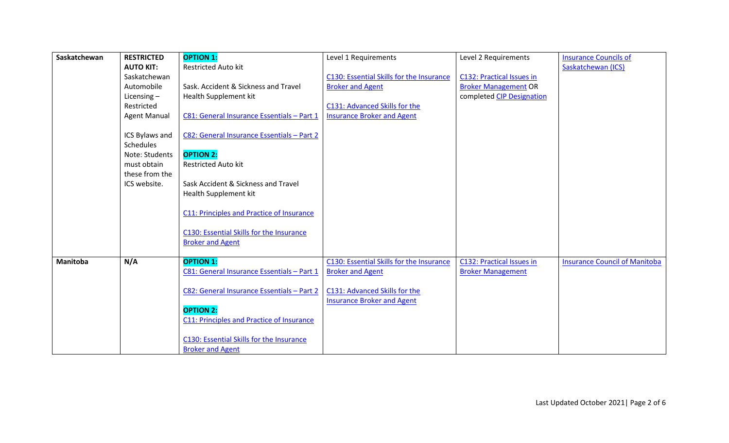| Saskatchewan    | <b>RESTRICTED</b>   | <b>OPTION 1:</b>                           | Level 1 Requirements                     | Level 2 Requirements        | <b>Insurance Councils of</b>         |
|-----------------|---------------------|--------------------------------------------|------------------------------------------|-----------------------------|--------------------------------------|
|                 | <b>AUTO KIT:</b>    | <b>Restricted Auto kit</b>                 |                                          |                             | Saskatchewan (ICS)                   |
|                 | Saskatchewan        |                                            | C130: Essential Skills for the Insurance | C132: Practical Issues in   |                                      |
|                 | Automobile          | Sask, Accident & Sickness and Travel       | <b>Broker and Agent</b>                  | <b>Broker Management OR</b> |                                      |
|                 | Licensing $-$       | Health Supplement kit                      |                                          | completed CIP Designation   |                                      |
|                 | Restricted          |                                            | C131: Advanced Skills for the            |                             |                                      |
|                 | <b>Agent Manual</b> | C81: General Insurance Essentials - Part 1 | <b>Insurance Broker and Agent</b>        |                             |                                      |
|                 |                     |                                            |                                          |                             |                                      |
|                 | ICS Bylaws and      | C82: General Insurance Essentials - Part 2 |                                          |                             |                                      |
|                 | Schedules           |                                            |                                          |                             |                                      |
|                 | Note: Students      | <b>OPTION 2:</b>                           |                                          |                             |                                      |
|                 | must obtain         | <b>Restricted Auto kit</b>                 |                                          |                             |                                      |
|                 | these from the      |                                            |                                          |                             |                                      |
|                 | ICS website.        | Sask Accident & Sickness and Travel        |                                          |                             |                                      |
|                 |                     | Health Supplement kit                      |                                          |                             |                                      |
|                 |                     | C11: Principles and Practice of Insurance  |                                          |                             |                                      |
|                 |                     | C130: Essential Skills for the Insurance   |                                          |                             |                                      |
|                 |                     | <b>Broker and Agent</b>                    |                                          |                             |                                      |
|                 |                     |                                            |                                          |                             |                                      |
| <b>Manitoba</b> | N/A                 | <b>OPTION 1:</b>                           | C130: Essential Skills for the Insurance | C132: Practical Issues in   | <b>Insurance Council of Manitoba</b> |
|                 |                     | C81: General Insurance Essentials - Part 1 | <b>Broker and Agent</b>                  | <b>Broker Management</b>    |                                      |
|                 |                     |                                            |                                          |                             |                                      |
|                 |                     | C82: General Insurance Essentials - Part 2 | C131: Advanced Skills for the            |                             |                                      |
|                 |                     |                                            | <b>Insurance Broker and Agent</b>        |                             |                                      |
|                 |                     | <b>OPTION 2:</b>                           |                                          |                             |                                      |
|                 |                     | C11: Principles and Practice of Insurance  |                                          |                             |                                      |
|                 |                     |                                            |                                          |                             |                                      |
|                 |                     | C130: Essential Skills for the Insurance   |                                          |                             |                                      |
|                 |                     | <b>Broker and Agent</b>                    |                                          |                             |                                      |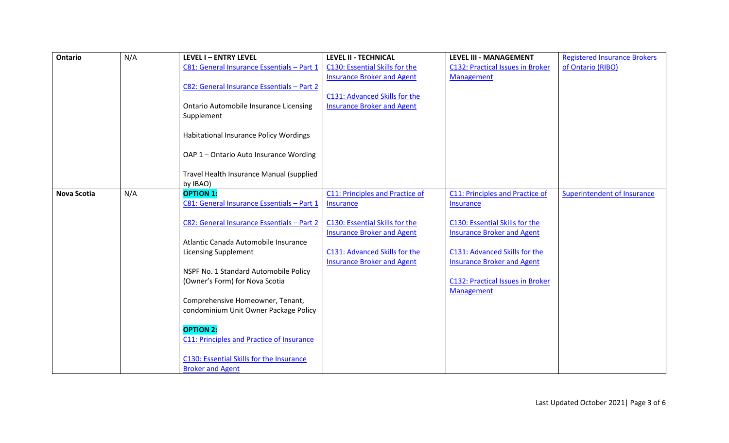| <b>Ontario</b>     | N/A | <b>LEVEL I - ENTRY LEVEL</b>                                            | <b>LEVEL II - TECHNICAL</b>            | <b>LEVEL III - MANAGEMENT</b>           | <b>Registered Insurance Brokers</b> |
|--------------------|-----|-------------------------------------------------------------------------|----------------------------------------|-----------------------------------------|-------------------------------------|
|                    |     | C81: General Insurance Essentials - Part 1                              | C130: Essential Skills for the         | <b>C132: Practical Issues in Broker</b> | of Ontario (RIBO)                   |
|                    |     |                                                                         | <b>Insurance Broker and Agent</b>      | <b>Management</b>                       |                                     |
|                    |     | C82: General Insurance Essentials - Part 2                              |                                        |                                         |                                     |
|                    |     |                                                                         | C131: Advanced Skills for the          |                                         |                                     |
|                    |     | <b>Ontario Automobile Insurance Licensing</b>                           | <b>Insurance Broker and Agent</b>      |                                         |                                     |
|                    |     | Supplement                                                              |                                        |                                         |                                     |
|                    |     | Habitational Insurance Policy Wordings                                  |                                        |                                         |                                     |
|                    |     | OAP 1 - Ontario Auto Insurance Wording                                  |                                        |                                         |                                     |
|                    |     | Travel Health Insurance Manual (supplied<br>by IBAO)                    |                                        |                                         |                                     |
| <b>Nova Scotia</b> | N/A | <b>OPTION 1:</b>                                                        | <b>C11: Principles and Practice of</b> | <b>C11: Principles and Practice of</b>  | <b>Superintendent of Insurance</b>  |
|                    |     | C81: General Insurance Essentials - Part 1                              | <b>Insurance</b>                       | <b>Insurance</b>                        |                                     |
|                    |     |                                                                         |                                        |                                         |                                     |
|                    |     | C82: General Insurance Essentials - Part 2                              | C130: Essential Skills for the         | C130: Essential Skills for the          |                                     |
|                    |     |                                                                         | <b>Insurance Broker and Agent</b>      | <b>Insurance Broker and Agent</b>       |                                     |
|                    |     | Atlantic Canada Automobile Insurance                                    |                                        |                                         |                                     |
|                    |     | <b>Licensing Supplement</b>                                             | C131: Advanced Skills for the          | C131: Advanced Skills for the           |                                     |
|                    |     |                                                                         | <b>Insurance Broker and Agent</b>      | <b>Insurance Broker and Agent</b>       |                                     |
|                    |     | NSPF No. 1 Standard Automobile Policy<br>(Owner's Form) for Nova Scotia |                                        | <b>C132: Practical Issues in Broker</b> |                                     |
|                    |     |                                                                         |                                        | Management                              |                                     |
|                    |     | Comprehensive Homeowner, Tenant,                                        |                                        |                                         |                                     |
|                    |     | condominium Unit Owner Package Policy                                   |                                        |                                         |                                     |
|                    |     |                                                                         |                                        |                                         |                                     |
|                    |     | <b>OPTION 2:</b>                                                        |                                        |                                         |                                     |
|                    |     | C11: Principles and Practice of Insurance                               |                                        |                                         |                                     |
|                    |     |                                                                         |                                        |                                         |                                     |
|                    |     | C130: Essential Skills for the Insurance                                |                                        |                                         |                                     |
|                    |     | <b>Broker and Agent</b>                                                 |                                        |                                         |                                     |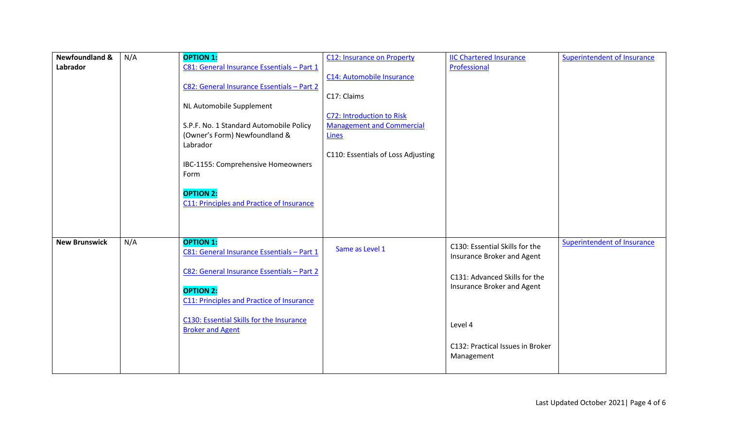| <b>Newfoundland &amp;</b> | N/A | <b>OPTION 1:</b>                           | <b>C12: Insurance on Property</b>  | <b>IIC Chartered Insurance</b>   | <b>Superintendent of Insurance</b> |
|---------------------------|-----|--------------------------------------------|------------------------------------|----------------------------------|------------------------------------|
| Labrador                  |     | C81: General Insurance Essentials - Part 1 |                                    | Professional                     |                                    |
|                           |     |                                            | C14: Automobile Insurance          |                                  |                                    |
|                           |     | C82: General Insurance Essentials - Part 2 |                                    |                                  |                                    |
|                           |     |                                            | C17: Claims                        |                                  |                                    |
|                           |     | NL Automobile Supplement                   |                                    |                                  |                                    |
|                           |     |                                            | C72: Introduction to Risk          |                                  |                                    |
|                           |     | S.P.F. No. 1 Standard Automobile Policy    | <b>Management and Commercial</b>   |                                  |                                    |
|                           |     | (Owner's Form) Newfoundland &              | Lines                              |                                  |                                    |
|                           |     | Labrador                                   |                                    |                                  |                                    |
|                           |     |                                            | C110: Essentials of Loss Adjusting |                                  |                                    |
|                           |     | IBC-1155: Comprehensive Homeowners         |                                    |                                  |                                    |
|                           |     | Form                                       |                                    |                                  |                                    |
|                           |     | <b>OPTION 2:</b>                           |                                    |                                  |                                    |
|                           |     | C11: Principles and Practice of Insurance  |                                    |                                  |                                    |
|                           |     |                                            |                                    |                                  |                                    |
|                           |     |                                            |                                    |                                  |                                    |
|                           |     |                                            |                                    |                                  |                                    |
| <b>New Brunswick</b>      | N/A | <b>OPTION 1:</b>                           |                                    |                                  | <b>Superintendent of Insurance</b> |
|                           |     | C81: General Insurance Essentials - Part 1 | Same as Level 1                    | C130: Essential Skills for the   |                                    |
|                           |     |                                            |                                    | Insurance Broker and Agent       |                                    |
|                           |     | C82: General Insurance Essentials - Part 2 |                                    | C131: Advanced Skills for the    |                                    |
|                           |     |                                            |                                    | Insurance Broker and Agent       |                                    |
|                           |     | <b>OPTION 2:</b>                           |                                    |                                  |                                    |
|                           |     | C11: Principles and Practice of Insurance  |                                    |                                  |                                    |
|                           |     |                                            |                                    |                                  |                                    |
|                           |     | C130: Essential Skills for the Insurance   |                                    | Level 4                          |                                    |
|                           |     | <b>Broker and Agent</b>                    |                                    |                                  |                                    |
|                           |     |                                            |                                    | C132: Practical Issues in Broker |                                    |
|                           |     |                                            |                                    | Management                       |                                    |
|                           |     |                                            |                                    |                                  |                                    |
|                           |     |                                            |                                    |                                  |                                    |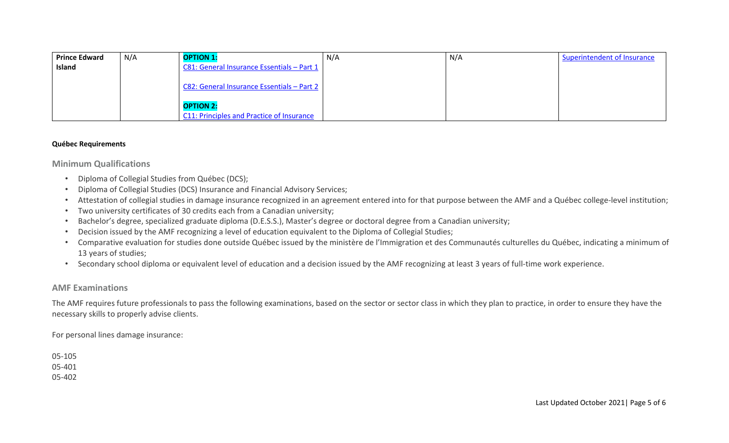| <b>Prince Edward</b> | N/A | <b>OPTION 1:</b>                           | N/A | N/A | Superintendent of Insurance |
|----------------------|-----|--------------------------------------------|-----|-----|-----------------------------|
| Island               |     | C81: General Insurance Essentials - Part 1 |     |     |                             |
|                      |     |                                            |     |     |                             |
|                      |     | C82: General Insurance Essentials - Part 2 |     |     |                             |
|                      |     |                                            |     |     |                             |
|                      |     | <b>OPTION 2:</b>                           |     |     |                             |
|                      |     | C11: Principles and Practice of Insurance  |     |     |                             |

### **Québec Requirements**

**Minimum Qualifications**

- Diploma of Collegial Studies from Québec (DCS);
- Diploma of Collegial Studies (DCS) Insurance and Financial Advisory Services;
- Attestation of collegial studies in damage insurance recognized in an agreement entered into for that purpose between the AMF and a Québec college-level institution;
- Two university certificates of 30 credits each from a Canadian university;
- Bachelor's degree, specialized graduate diploma (D.E.S.S.), Master's degree or doctoral degree from a Canadian university;
- Decision issued by the AMF recognizing a level of education equivalent to the Diploma of Collegial Studies;
- Comparative evaluation for studies done outside Québec issued by the ministère de l'Immigration et des Communautés culturelles du Québec, indicating a minimum of 13 years of studies;
- Secondary school diploma or equivalent level of education and a decision issued by the AMF recognizing at least 3 years of full-time work experience.

# **AMF Examinations**

The AMF requires future professionals to pass the following examinations, based on the sector or sector class in which they plan to practice, in order to ensure they have the necessary skills to properly advise clients.

For personal lines damage insurance:

05-105 05-401 05-402